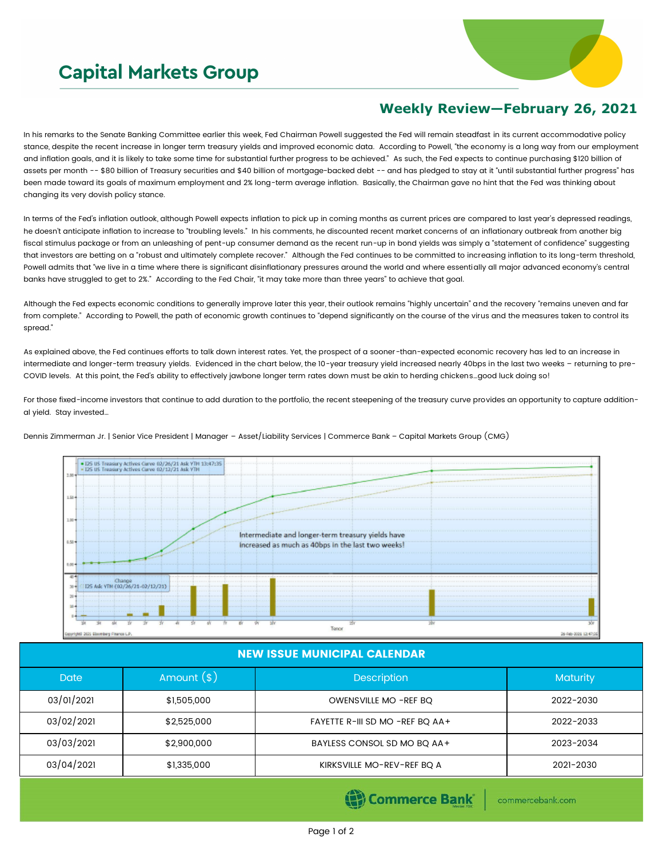## **Capital Markets Group**



## **Weekly Review—February 26, 2021**

In his remarks to the Senate Banking Committee earlier this week, Fed Chairman Powell suggested the Fed will remain steadfast in its current accommodative policy stance, despite the recent increase in longer term treasury yields and improved economic data. According to Powell, "the economy is a long way from our employment and inflation goals, and it is likely to take some time for substantial further progress to be achieved." As such, the Fed expects to continue purchasing \$120 billion of assets per month -- \$80 billion of Treasury securities and \$40 billion of mortgage-backed debt -- and has pledged to stay at it "until substantial further progress" has been made toward its goals of maximum employment and 2% long-term average inflation. Basically, the Chairman gave no hint that the Fed was thinking about changing its very dovish policy stance.

In terms of the Fed's inflation outlook, although Powell expects inflation to pick up in coming months as current prices are compared to last year's depressed readings, he doesn't anticipate inflation to increase to "troubling levels." In his comments, he discounted recent market concerns of an inflationary outbreak from another big fiscal stimulus package or from an unleashing of pent-up consumer demand as the recent run-up in bond yields was simply a "statement of confidence" suggesting that investors are betting on a "robust and ultimately complete recover." Although the Fed continues to be committed to increasing inflation to its long-term threshold, Powell admits that "we live in a time where there is significant disinflationary pressures around the world and where essentially all major advanced economy's central banks have struggled to get to 2%." According to the Fed Chair, "it may take more than three years" to achieve that goal.

Although the Fed expects economic conditions to generally improve later this year, their outlook remains "highly uncertain" and the recovery "remains uneven and far from complete." According to Powell, the path of economic growth continues to "depend significantly on the course of the virus and the measures taken to control its spread."

As explained above, the Fed continues efforts to talk down interest rates. Yet, the prospect of a sooner-than-expected economic recovery has led to an increase in intermediate and longer-term treasury yields. Evidenced in the chart below, the 10-year treasury yield increased nearly 40bps in the last two weeks – returning to pre-COVID levels. At this point, the Fed's ability to effectively jawbone longer term rates down must be akin to herding chickens…good luck doing so!

For those fixed-income investors that continue to add duration to the portfolio, the recent steepening of the treasury curve provides an opportunity to capture additional yield. Stay invested…

Dennis Zimmerman Jr. | Senior Vice President | Manager – Asset/Liability Services | Commerce Bank – Capital Markets Group (CMG)



## NEW ISSUE MUNICIPAL CALENDAR

| <b>Date</b> | Amount $(*)$ | <b>Description</b>              | <b>Maturity</b> |  |
|-------------|--------------|---------------------------------|-----------------|--|
| 03/01/2021  | \$1,505,000  | OWENSVILLE MO -REF BQ           | 2022-2030       |  |
| 03/02/2021  | \$2,525,000  | FAYETTE R-III SD MO -REF BQ AA+ | 2022-2033       |  |
| 03/03/2021  | \$2,900,000  | BAYLESS CONSOL SD MO BQ AA+     | 2023-2034       |  |
| 03/04/2021  | \$1,335,000  | KIRKSVILLE MO-REV-REF BQ A      | 2021-2030       |  |

Commerce Bank

commercebank.com